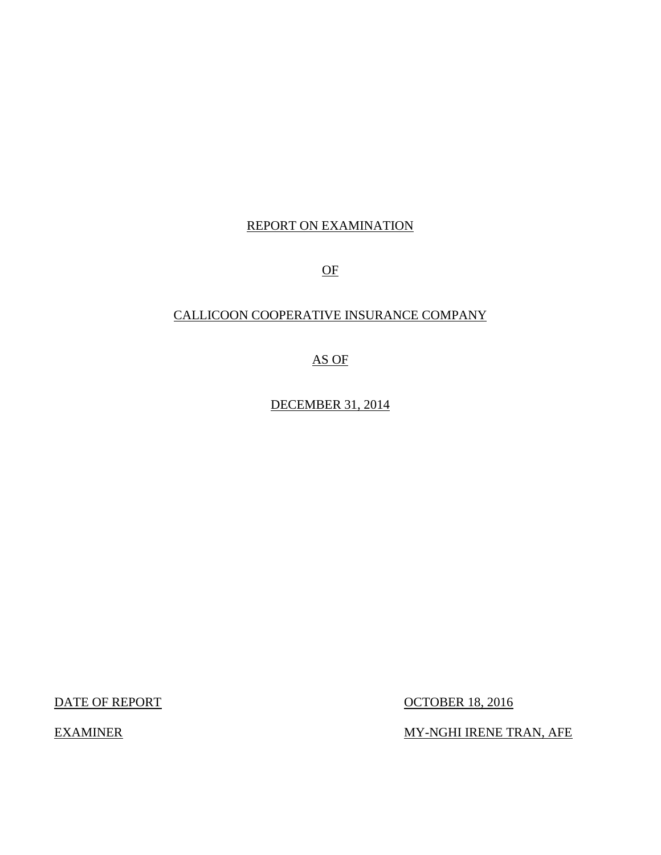## REPORT ON EXAMINATION

OF

## CALLICOON COOPERATIVE INSURANCE COMPANY

AS OF

DECEMBER 31, 2014

DATE OF REPORT OCTOBER 18, 2016

EXAMINER MY-NGHI IRENE TRAN, AFE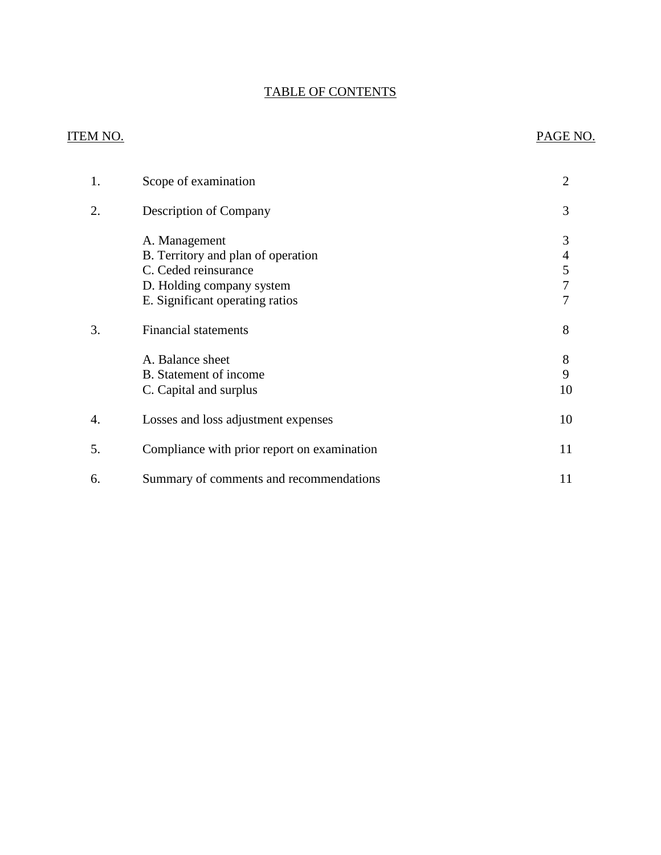## TABLE OF CONTENTS

## ITEM NO. PAGE NO.

| 1. | Scope of examination                                                                                                                        | 2                |
|----|---------------------------------------------------------------------------------------------------------------------------------------------|------------------|
| 2. | Description of Company                                                                                                                      | 3                |
|    | A. Management<br>B. Territory and plan of operation<br>C. Ceded reinsurance<br>D. Holding company system<br>E. Significant operating ratios | 3<br>4<br>5<br>7 |
| 3. | <b>Financial statements</b>                                                                                                                 | 8                |
|    | A. Balance sheet<br>B. Statement of income<br>C. Capital and surplus                                                                        | 8<br>9<br>10     |
| 4. | Losses and loss adjustment expenses                                                                                                         | 10               |
| 5. | Compliance with prior report on examination                                                                                                 | 11               |
| 6. | Summary of comments and recommendations                                                                                                     | 11               |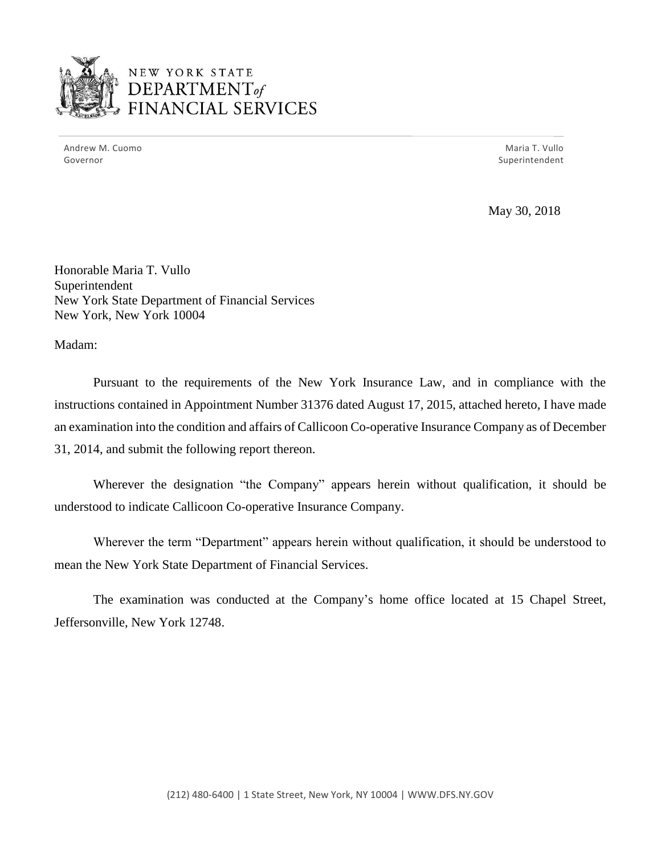

NEW YORK STATE *DEPARTMENTof*  FINANCIAL SERVICES

Andrew M. Cuomo National Andrew M. Cuomo National Andrew Maria T. Vullo Governor Superintendent and Superintendent and Superintendent and Superintendent and Superintendent and Superintendent

May 30, 2018

Honorable Maria T. Vullo Superintendent New York State Department of Financial Services New York, New York 10004

Madam:

 instructions contained in Appointment Number 31376 dated August 17, 2015, attached hereto, I have made an examination into the condition and affairs of Callicoon Co-operative Insurance Company as of December Pursuant to the requirements of the New York Insurance Law, and in compliance with the 31, 2014, and submit the following report thereon.

Wherever the designation "the Company" appears herein without qualification, it should be understood to indicate Callicoon Co-operative Insurance Company.

 Wherever the term "Department" appears herein without qualification, it should be understood to mean the New York State Department of Financial Services.

The examination was conducted at the Company's home office located at 15 Chapel Street, Jeffersonville, New York 12748.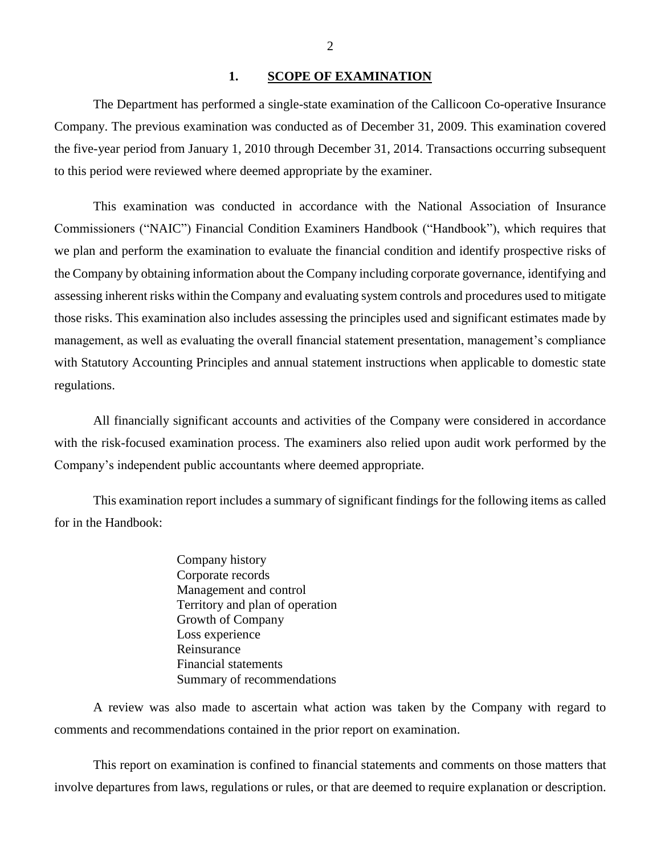#### <span id="page-3-0"></span>1. SCOPE OF EXAMINATION

 The Department has performed a single-state examination of the Callicoon Co-operative Insurance Company. The previous examination was conducted as of December 31, 2009. This examination covered the five-year period from January 1, 2010 through December 31, 2014. Transactions occurring subsequent to this period were reviewed where deemed appropriate by the examiner.

 we plan and perform the examination to evaluate the financial condition and identify prospective risks of the Company by obtaining information about the Company including corporate governance, identifying and assessing inherent risks within the Company and evaluating system controls and procedures used to mitigate those risks. This examination also includes assessing the principles used and significant estimates made by with Statutory Accounting Principles and annual statement instructions when applicable to domestic state This examination was conducted in accordance with the National Association of Insurance Commissioners ("NAIC") Financial Condition Examiners Handbook ("Handbook"), which requires that management, as well as evaluating the overall financial statement presentation, management's compliance regulations.

All financially significant accounts and activities of the Company were considered in accordance with the risk-focused examination process. The examiners also relied upon audit work performed by the Company's independent public accountants where deemed appropriate.

 This examination report includes a summary of significant findings for the following items as called for in the Handbook:

> Company history Corporate records Management and control Territory and plan of operation Growth of Company Loss experience Reinsurance Financial statements Summary of recommendations

A review was also made to ascertain what action was taken by the Company with regard to comments and recommendations contained in the prior report on examination.

This report on examination is confined to financial statements and comments on those matters that involve departures from laws, regulations or rules, or that are deemed to require explanation or description.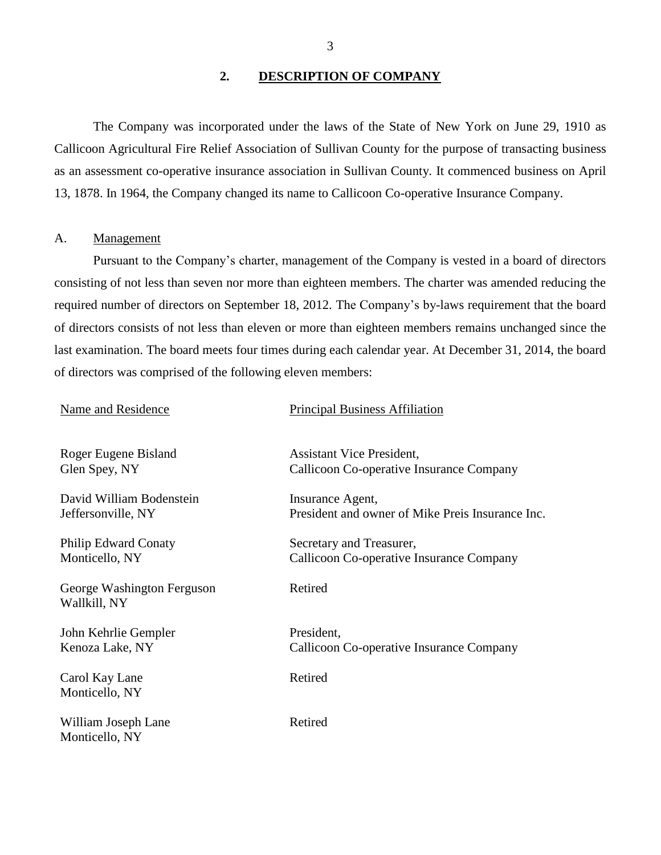#### <span id="page-4-0"></span>**2. DESCRIPTION OF COMPANY**

 as an assessment co-operative insurance association in Sullivan County. It commenced business on April The Company was incorporated under the laws of the State of New York on June 29, 1910 as Callicoon Agricultural Fire Relief Association of Sullivan County for the purpose of transacting business 13, 1878. In 1964, the Company changed its name to Callicoon Co-operative Insurance Company.

## <span id="page-4-1"></span>A. Management

 Pursuant to the Company's charter, management of the Company is vested in a board of directors required number of directors on September 18, 2012. The Company's by-laws requirement that the board consisting of not less than seven nor more than eighteen members. The charter was amended reducing the of directors consists of not less than eleven or more than eighteen members remains unchanged since the last examination. The board meets four times during each calendar year. At December 31, 2014, the board of directors was comprised of the following eleven members:

Name and Residence Principal Business Affiliation

| Roger Eugene Bisland                       | <b>Assistant Vice President,</b>                 |
|--------------------------------------------|--------------------------------------------------|
| Glen Spey, NY                              | Callicoon Co-operative Insurance Company         |
| David William Bodenstein                   | Insurance Agent,                                 |
| Jeffersonville, NY                         | President and owner of Mike Preis Insurance Inc. |
| <b>Philip Edward Conaty</b>                | Secretary and Treasurer,                         |
| Monticello, NY                             | Callicoon Co-operative Insurance Company         |
| George Washington Ferguson<br>Wallkill, NY | Retired                                          |
| John Kehrlie Gempler                       | President,                                       |
| Kenoza Lake, NY                            | Callicoon Co-operative Insurance Company         |
| Carol Kay Lane<br>Monticello, NY           | Retired                                          |
| William Joseph Lane<br>Monticello, NY      | Retired                                          |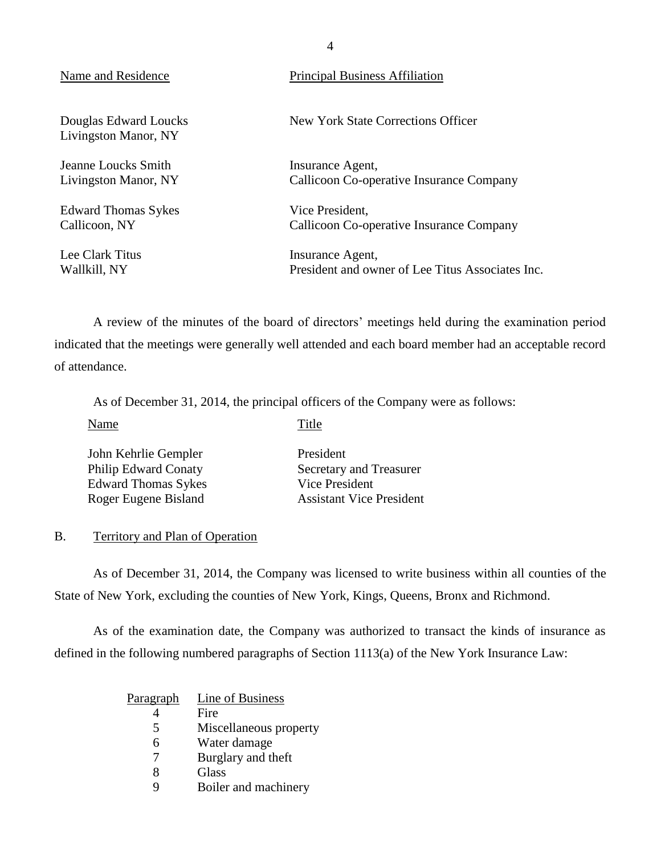| Name and Residence                                                             | <b>Principal Business Affiliation</b>                                                                                               |
|--------------------------------------------------------------------------------|-------------------------------------------------------------------------------------------------------------------------------------|
| Douglas Edward Loucks<br>Livingston Manor, NY                                  | New York State Corrections Officer                                                                                                  |
| Jeanne Loucks Smith<br>Livingston Manor, NY                                    | Insurance Agent,<br>Callicoon Co-operative Insurance Company                                                                        |
| <b>Edward Thomas Sykes</b><br>Callicoon, NY<br>Lee Clark Titus<br>Wallkill, NY | Vice President,<br>Callicoon Co-operative Insurance Company<br>Insurance Agent,<br>President and owner of Lee Titus Associates Inc. |
|                                                                                |                                                                                                                                     |

 indicated that the meetings were generally well attended and each board member had an acceptable record A review of the minutes of the board of directors' meetings held during the examination period of attendance.

As of December 31, 2014, the principal officers of the Company were as follows:

| Name                                                                                                      | Title                                                                                     |
|-----------------------------------------------------------------------------------------------------------|-------------------------------------------------------------------------------------------|
| John Kehrlie Gempler<br><b>Philip Edward Conaty</b><br><b>Edward Thomas Sykes</b><br>Roger Eugene Bisland | President<br>Secretary and Treasurer<br>Vice President<br><b>Assistant Vice President</b> |
|                                                                                                           |                                                                                           |

#### <span id="page-5-0"></span>B. Territory and Plan of Operation

As of December 31, 2014, the Company was licensed to write business within all counties of the State of New York, excluding the counties of New York, Kings, Queens, Bronx and Richmond.

 As of the examination date, the Company was authorized to transact the kinds of insurance as defined in the following numbered paragraphs of Section 1113(a) of the New York Insurance Law:

| <u>Paragraph</u> | Line of Business       |
|------------------|------------------------|
|                  | Fire                   |
| 5                | Miscellaneous property |
| 6                | Water damage           |
| 7                | Burglary and theft     |
| 8                | Glass                  |
|                  | Boiler and machinery   |

4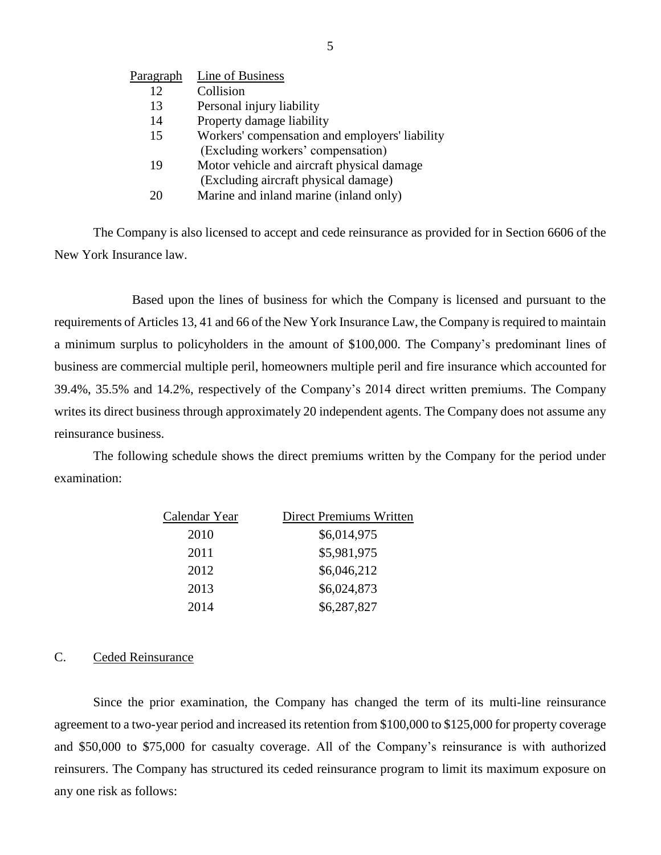| Paragraph | Line of Business                               |
|-----------|------------------------------------------------|
| 12        | Collision                                      |
| 13        | Personal injury liability                      |
| 14        | Property damage liability                      |
| 15        | Workers' compensation and employers' liability |
|           | (Excluding workers' compensation)              |
| 19        | Motor vehicle and aircraft physical damage     |
|           | (Excluding aircraft physical damage)           |
| 20        | Marine and inland marine (inland only)         |

 The Company is also licensed to accept and cede reinsurance as provided for in Section 6606 of the New York Insurance law.

 Based upon the lines of business for which the Company is licensed and pursuant to the a minimum surplus to policyholders in the amount of \$100,000. The Company's predominant lines of 39.4%, 35.5% and 14.2%, respectively of the Company's 2014 direct written premiums. The Company writes its direct business through approximately 20 independent agents. The Company does not assume any requirements of Articles 13, 41 and 66 of the New York Insurance Law, the Company is required to maintain business are commercial multiple peril, homeowners multiple peril and fire insurance which accounted for reinsurance business.

 The following schedule shows the direct premiums written by the Company for the period under examination:

| Calendar Year | Direct Premiums Written |
|---------------|-------------------------|
| 2010          | \$6,014,975             |
| 2011          | \$5,981,975             |
| 2012          | \$6,046,212             |
| 2013          | \$6,024,873             |
| 2014          | \$6,287,827             |

#### <span id="page-6-0"></span>C. Ceded Reinsurance

 Since the prior examination, the Company has changed the term of its multi-line reinsurance agreement to a two-year period and increased its retention from \$100,000 to \$125,000 for property coverage and \$50,000 to \$75,000 for casualty coverage. All of the Company's reinsurance is with authorized reinsurers. The Company has structured its ceded reinsurance program to limit its maximum exposure on any one risk as follows: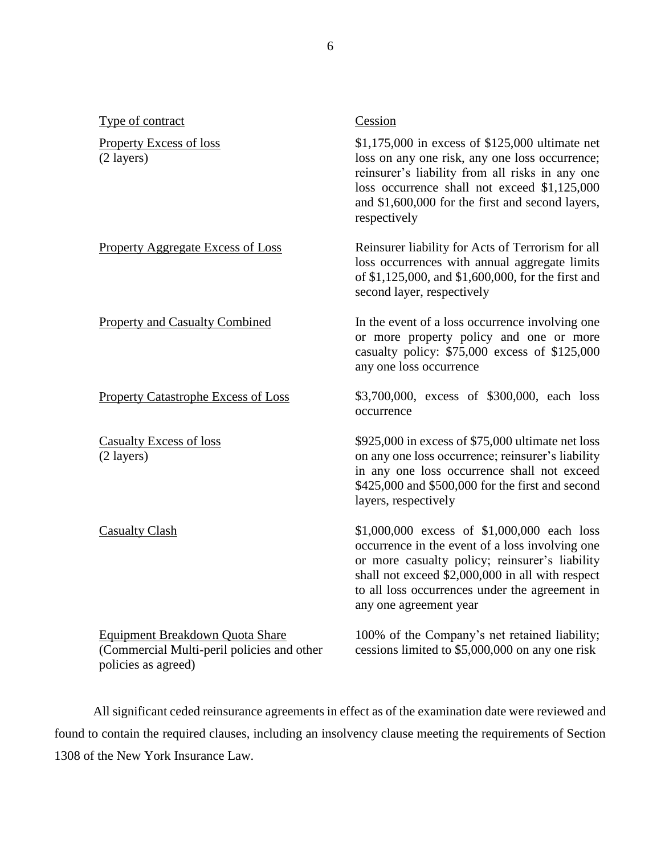| Type of contract                                                                                     | Cession                                                                                                                                                                                                                                                                          |
|------------------------------------------------------------------------------------------------------|----------------------------------------------------------------------------------------------------------------------------------------------------------------------------------------------------------------------------------------------------------------------------------|
| <b>Property Excess of loss</b><br>$(2 \text{ layers})$                                               | \$1,175,000 in excess of \$125,000 ultimate net<br>loss on any one risk, any one loss occurrence;<br>reinsurer's liability from all risks in any one<br>loss occurrence shall not exceed \$1,125,000<br>and \$1,600,000 for the first and second layers,<br>respectively         |
| <b>Property Aggregate Excess of Loss</b>                                                             | Reinsurer liability for Acts of Terrorism for all<br>loss occurrences with annual aggregate limits<br>of \$1,125,000, and \$1,600,000, for the first and<br>second layer, respectively                                                                                           |
| <b>Property and Casualty Combined</b>                                                                | In the event of a loss occurrence involving one<br>or more property policy and one or more<br>casualty policy: \$75,000 excess of \$125,000<br>any one loss occurrence                                                                                                           |
| <b>Property Catastrophe Excess of Loss</b>                                                           | \$3,700,000, excess of \$300,000, each loss<br>occurrence                                                                                                                                                                                                                        |
| <b>Casualty Excess of loss</b><br>(2 layers)                                                         | \$925,000 in excess of \$75,000 ultimate net loss<br>on any one loss occurrence; reinsurer's liability<br>in any one loss occurrence shall not exceed<br>\$425,000 and \$500,000 for the first and second<br>layers, respectively                                                |
| <b>Casualty Clash</b>                                                                                | \$1,000,000 excess of \$1,000,000 each loss<br>occurrence in the event of a loss involving one<br>or more casualty policy; reinsurer's liability<br>shall not exceed \$2,000,000 in all with respect<br>to all loss occurrences under the agreement in<br>any one agreement year |
| Equipment Breakdown Quota Share<br>(Commercial Multi-peril policies and other<br>policies as agreed) | 100% of the Company's net retained liability;<br>cessions limited to \$5,000,000 on any one risk                                                                                                                                                                                 |

 All significant ceded reinsurance agreements in effect as of the examination date were reviewed and found to contain the required clauses, including an insolvency clause meeting the requirements of Section 1308 of the New York Insurance Law.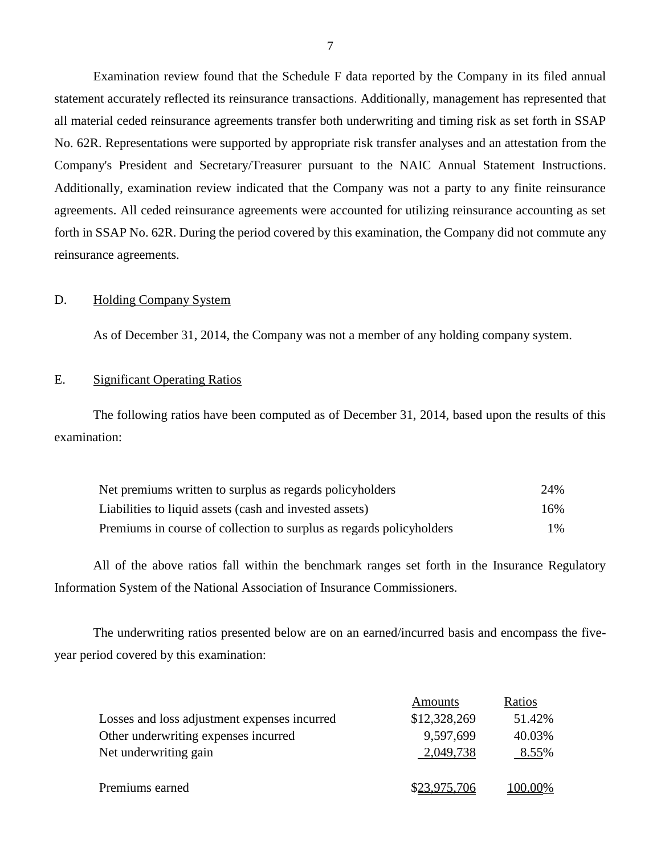Examination review found that the Schedule F data reported by the Company in its filed annual all material ceded reinsurance agreements transfer both underwriting and timing risk as set forth in SSAP Additionally, examination review indicated that the Company was not a party to any finite reinsurance agreements. All ceded reinsurance agreements were accounted for utilizing reinsurance accounting as set statement accurately reflected its reinsurance transactions. Additionally, management has represented that No. 62R. Representations were supported by appropriate risk transfer analyses and an attestation from the Company's President and Secretary/Treasurer pursuant to the NAIC Annual Statement Instructions. forth in SSAP No. 62R. During the period covered by this examination, the Company did not commute any reinsurance agreements.

#### <span id="page-8-0"></span>D. Holding Company System

As of December 31, 2014, the Company was not a member of any holding company system.

#### <span id="page-8-1"></span>E. Significant Operating Ratios

 The following ratios have been computed as of December 31, 2014, based upon the results of this examination:

| Net premiums written to surplus as regards policyholders             | 24% |
|----------------------------------------------------------------------|-----|
| Liabilities to liquid assets (cash and invested assets)              | 16% |
| Premiums in course of collection to surplus as regards policyholders | 1%  |

 All of the above ratios fall within the benchmark ranges set forth in the Insurance Regulatory Information System of the National Association of Insurance Commissioners.

The underwriting ratios presented below are on an earned/incurred basis and encompass the fiveyear period covered by this examination:

|                                              | Amounts      | Ratios  |
|----------------------------------------------|--------------|---------|
| Losses and loss adjustment expenses incurred | \$12,328,269 | 51.42%  |
| Other underwriting expenses incurred         | 9,597,699    | 40.03%  |
| Net underwriting gain                        | 2,049,738    | 8.55%   |
|                                              |              |         |
| Premiums earned                              | \$23,975,706 | 100.00% |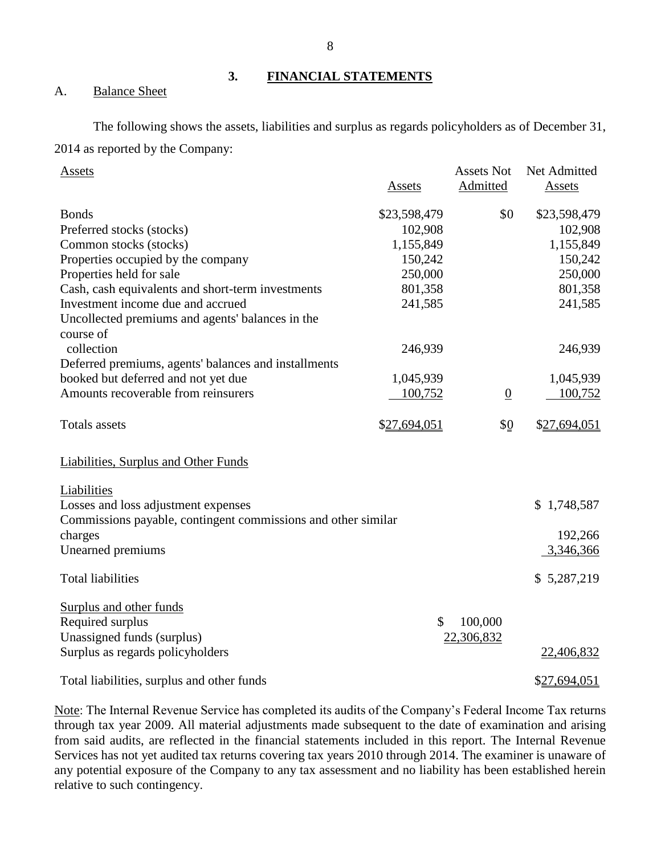<span id="page-9-1"></span><span id="page-9-0"></span>A. Balance Sheet

# The following shows the assets, liabilities and surplus as regards policyholders as of December 31,

2014 as reported by the Company:

| <b>Assets</b>                                                 |               | <b>Assets Not</b> | Net Admitted |
|---------------------------------------------------------------|---------------|-------------------|--------------|
|                                                               | Assets        | Admitted          | Assets       |
| <b>Bonds</b>                                                  | \$23,598,479  | \$0               | \$23,598,479 |
| Preferred stocks (stocks)                                     | 102,908       |                   | 102,908      |
| Common stocks (stocks)                                        | 1,155,849     |                   | 1,155,849    |
| Properties occupied by the company                            | 150,242       |                   | 150,242      |
| Properties held for sale                                      | 250,000       |                   | 250,000      |
| Cash, cash equivalents and short-term investments             | 801,358       |                   | 801,358      |
| Investment income due and accrued                             | 241,585       |                   | 241,585      |
| Uncollected premiums and agents' balances in the              |               |                   |              |
| course of                                                     |               |                   |              |
| collection                                                    | 246,939       |                   | 246,939      |
| Deferred premiums, agents' balances and installments          |               |                   |              |
| booked but deferred and not yet due                           | 1,045,939     |                   | 1,045,939    |
| Amounts recoverable from reinsurers                           | 100,752       | $\overline{0}$    | 100,752      |
|                                                               |               |                   |              |
| Totals assets                                                 | \$27,694,051  | \$0               | \$27,694,051 |
|                                                               |               |                   |              |
|                                                               |               |                   |              |
| <b>Liabilities, Surplus and Other Funds</b>                   |               |                   |              |
| Liabilities                                                   |               |                   |              |
| Losses and loss adjustment expenses                           |               |                   | \$1,748,587  |
| Commissions payable, contingent commissions and other similar |               |                   |              |
| charges                                                       |               |                   | 192,266      |
| Unearned premiums                                             |               |                   | 3,346,366    |
|                                                               |               |                   |              |
| <b>Total liabilities</b>                                      |               |                   | \$5,287,219  |
|                                                               |               |                   |              |
| Surplus and other funds                                       |               |                   |              |
| Required surplus                                              | $\mathcal{S}$ | 100,000           |              |
| Unassigned funds (surplus)                                    |               | 22,306,832        |              |
| Surplus as regards policyholders                              |               |                   | 22,406,832   |
|                                                               |               |                   |              |
| Total liabilities, surplus and other funds                    |               |                   | \$27,694,051 |

Note: The Internal Revenue Service has completed its audits of the Company's Federal Income Tax returns Services has not yet audited tax returns covering tax years 2010 through 2014. The examiner is unaware of any potential exposure of the Company to any tax assessment and no liability has been established herein through tax year 2009. All material adjustments made subsequent to the date of examination and arising from said audits, are reflected in the financial statements included in this report. The Internal Revenue relative to such contingency.

**3. FINANCIAL STATEMENTS**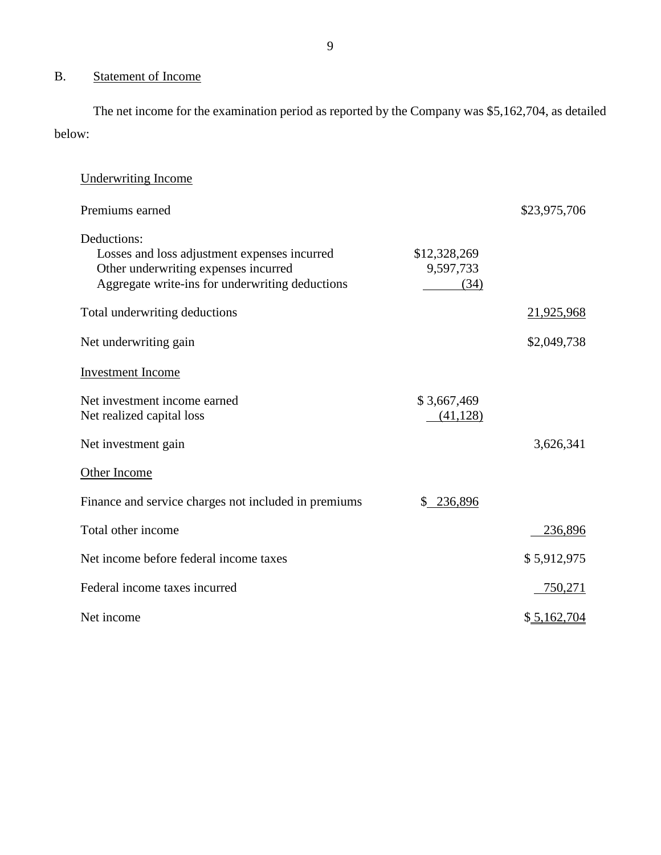## B. Statement of Income

 The net income for the examination period as reported by the Company was \$5,162,704, as detailed below:

| <b>Underwriting Income</b>                                                                                                                             |                                   |              |
|--------------------------------------------------------------------------------------------------------------------------------------------------------|-----------------------------------|--------------|
| Premiums earned                                                                                                                                        |                                   | \$23,975,706 |
| Deductions:<br>Losses and loss adjustment expenses incurred<br>Other underwriting expenses incurred<br>Aggregate write-ins for underwriting deductions | \$12,328,269<br>9,597,733<br>(34) |              |
| Total underwriting deductions                                                                                                                          |                                   | 21,925,968   |
| Net underwriting gain                                                                                                                                  |                                   | \$2,049,738  |
| <b>Investment</b> Income                                                                                                                               |                                   |              |
| Net investment income earned<br>Net realized capital loss                                                                                              | \$3,667,469<br>(41, 128)          |              |
| Net investment gain                                                                                                                                    |                                   | 3,626,341    |
| Other Income                                                                                                                                           |                                   |              |
| Finance and service charges not included in premiums                                                                                                   | 236,896<br>\$                     |              |
| Total other income                                                                                                                                     |                                   | 236,896      |
| Net income before federal income taxes                                                                                                                 |                                   | \$5,912,975  |
| Federal income taxes incurred                                                                                                                          |                                   | 750,271      |
| Net income                                                                                                                                             |                                   | \$5,162,704  |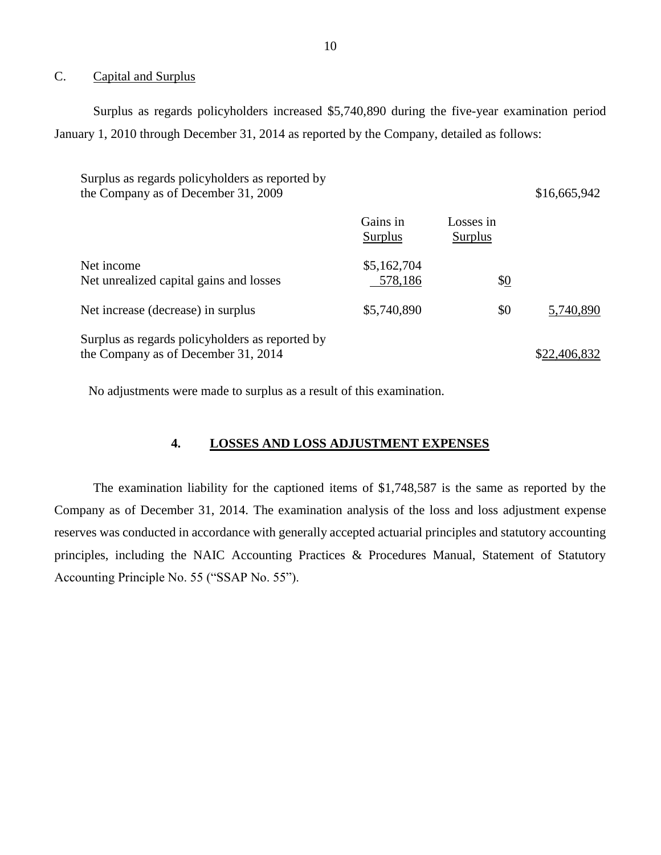#### <span id="page-11-0"></span>C. Capital and Surplus

Surplus as regards policyholders increased \$5,740,890 during the five-year examination period January 1, 2010 through December 31, 2014 as reported by the Company, detailed as follows:

| Surplus as regards policyholders as reported by<br>the Company as of December 31, 2009 |                        |                      | \$16,665,942 |
|----------------------------------------------------------------------------------------|------------------------|----------------------|--------------|
|                                                                                        | Gains in<br>Surplus    | Losses in<br>Surplus |              |
| Net income<br>Net unrealized capital gains and losses                                  | \$5,162,704<br>578,186 | $\frac{10}{2}$       |              |
| Net increase (decrease) in surplus                                                     | \$5,740,890            | \$0                  | 5,740,890    |
| Surplus as regards policyholders as reported by<br>the Company as of December 31, 2014 |                        |                      | \$22,406,832 |

No adjustments were made to surplus as a result of this examination.

## **4. LOSSES AND LOSS ADJUSTMENT EXPENSES**

 The examination liability for the captioned items of \$1,748,587 is the same as reported by the Company as of December 31, 2014. The examination analysis of the loss and loss adjustment expense reserves was conducted in accordance with generally accepted actuarial principles and statutory accounting principles, including the NAIC Accounting Practices & Procedures Manual, Statement of Statutory Accounting Principle No. 55 ("SSAP No. 55").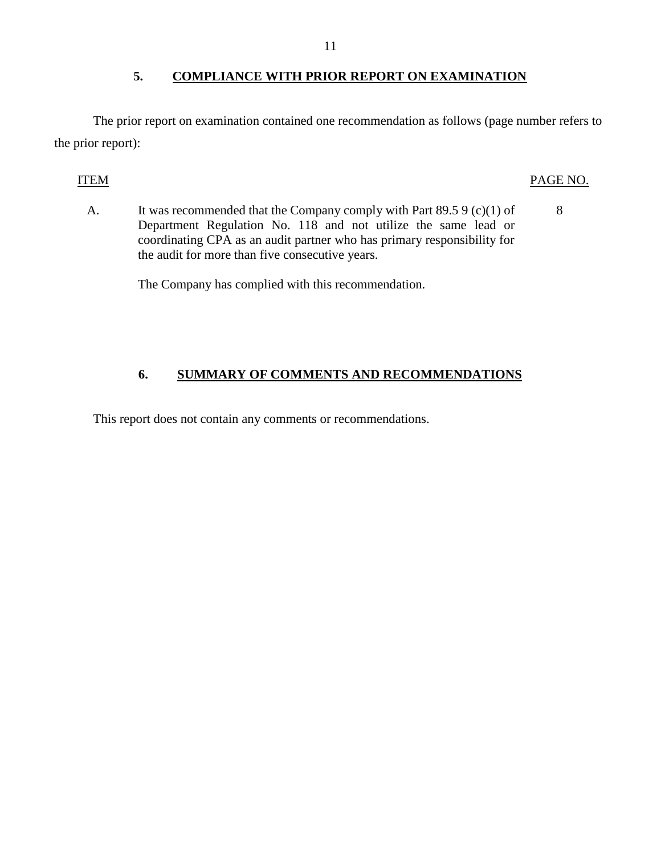## **5. COMPLIANCE WITH PRIOR REPORT ON EXAMINATION**

<span id="page-12-0"></span>The prior report on examination contained one recommendation as follows (page number refers to the prior report):

## ITEM PAGE NO.

A. It was recommended that the Company comply with Part  $89.59$  (c)(1) of 8 Department Regulation No. 118 and not utilize the same lead or coordinating CPA as an audit partner who has primary responsibility for the audit for more than five consecutive years.

The Company has complied with this recommendation.

## **6. SUMMARY OF COMMENTS AND RECOMMENDATIONS**

This report does not contain any comments or recommendations.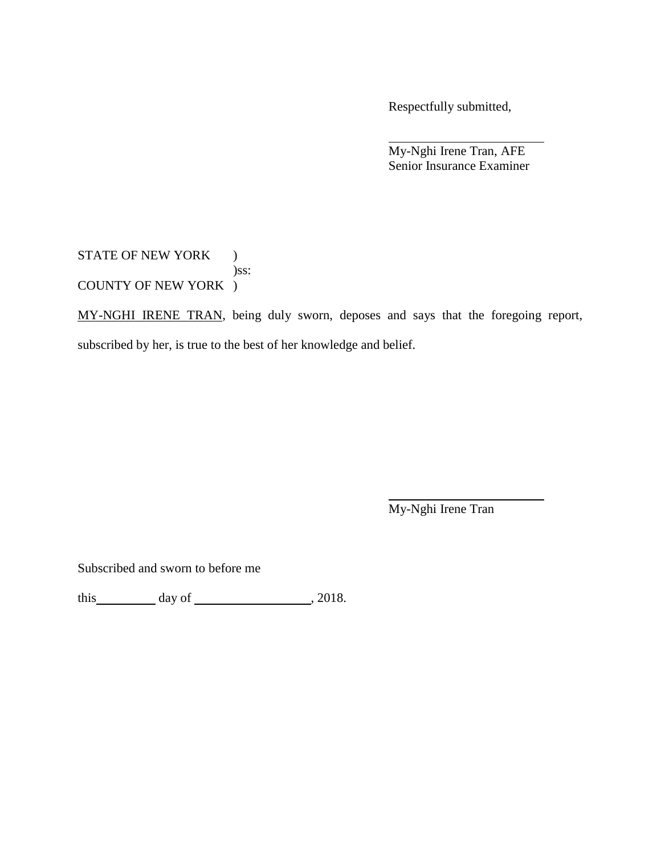Respectfully submitted,

My-Nghi Irene Tran, AFE Senior Insurance Examiner

STATE OF NEW YORK ) )ss: COUNTY OF NEW YORK )

MY-NGHI IRENE TRAN, being duly sworn, deposes and says that the foregoing report, subscribed by her, is true to the best of her knowledge and belief.

My-Nghi Irene Tran

Subscribed and sworn to before me

this day of , 2018.